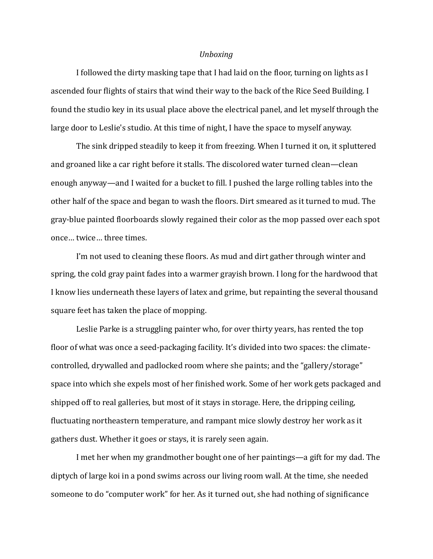# *Unboxing*

I followed the dirty masking tape that I had laid on the floor, turning on lights as I ascended four flights of stairs that wind their way to the back of the Rice Seed Building. I found the studio key in its usual place above the electrical panel, and let myself through the large door to Leslie's studio. At this time of night, I have the space to myself anyway.

 The sink dripped steadily to keep it from freezing. When I turned it on, it spluttered and groaned like a car right before it stalls. The discolored water turned clean—clean enough anyway—and I waited for a bucket to 5ill. I pushed the large rolling tables into the other half of the space and began to wash the floors. Dirt smeared as it turned to mud. The gray-blue painted 5loorboards slowly regained their color as the mop passed over each spot once… twice… three times.

I'm not used to cleaning these floors. As mud and dirt gather through winter and spring, the cold gray paint fades into a warmer grayish brown. I long for the hardwood that I know lies underneath these layers of latex and grime, but repainting the several thousand square feet has taken the place of mopping.

 Leslie Parke is a struggling painter who, for over thirty years, has rented the top floor of what was once a seed-packaging facility. It's divided into two spaces: the climatecontrolled, drywalled and padlocked room where she paints; and the "gallery/storage" space into which she expels most of her finished work. Some of her work gets packaged and shipped off to real galleries, but most of it stays in storage. Here, the dripping ceiling, fluctuating northeastern temperature, and rampant mice slowly destroy her work as it gathers dust. Whether it goes or stays, it is rarely seen again.

 I met her when my grandmother bought one of her paintings—a gift for my dad. The diptych of large koi in a pond swims across our living room wall. At the time, she needed someone to do "computer work" for her. As it turned out, she had nothing of significance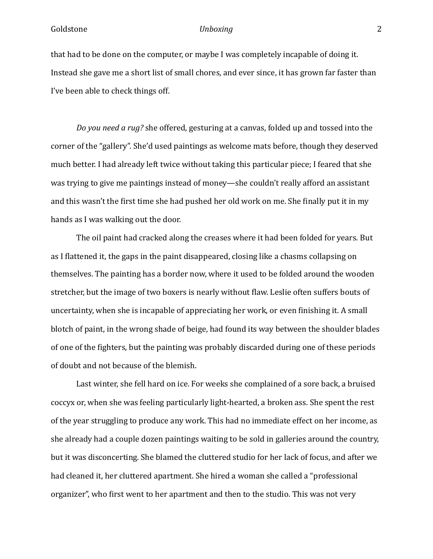that had to be done on the computer, or maybe I was completely incapable of doing it. Instead she gave me a short list of small chores, and ever since, it has grown far faster than I've been able to check things off.

*Do you need a rug?* she offered, gesturing at a canvas, folded up and tossed into the corner of the "gallery". She'd used paintings as welcome mats before, though they deserved much better. I had already left twice without taking this particular piece; I feared that she was trying to give me paintings instead of money—she couldn't really afford an assistant and this wasn't the first time she had pushed her old work on me. She finally put it in my hands as I was walking out the door.

 The oil paint had cracked along the creases where it had been folded for years. But as I flattened it, the gaps in the paint disappeared, closing like a chasms collapsing on themselves. The painting has a border now, where it used to be folded around the wooden stretcher, but the image of two boxers is nearly without flaw. Leslie often suffers bouts of uncertainty, when she is incapable of appreciating her work, or even finishing it. A small blotch of paint, in the wrong shade of beige, had found its way between the shoulder blades of one of the 5ighters, but the painting was probably discarded during one of these periods of doubt and not because of the blemish.

 Last winter, she fell hard on ice. For weeks she complained of a sore back, a bruised coccyx or, when she was feeling particularly light-hearted, a broken ass. She spent the rest of the year struggling to produce any work. This had no immediate effect on her income, as she already had a couple dozen paintings waiting to be sold in galleries around the country, but it was disconcerting. She blamed the cluttered studio for her lack of focus, and after we had cleaned it, her cluttered apartment. She hired a woman she called a "professional organizer", who first went to her apartment and then to the studio. This was not very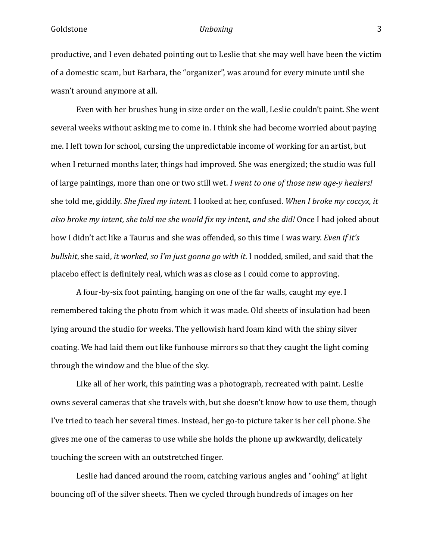productive, and I even debated pointing out to Leslie that she may well have been the victim of a domestic scam, but Barbara, the "organizer", was around for every minute until she wasn't around anymore at all.

 Even with her brushes hung in size order on the wall, Leslie couldn't paint. She went several weeks without asking me to come in. I think she had become worried about paying me. I left town for school, cursing the unpredictable income of working for an artist, but when I returned months later, things had improved. She was energized; the studio was full of large paintings, more than one or two still wet. *I went to one of those new age-y healers!*  she told me, giddily. *She fixed my intent.* I looked at her, confused. *When I broke my coccyx, it also broke my intent, she told me she would fix my intent, and she did!* Once I had joked about how I didn't act like a Taurus and she was offended, so this time I was wary. *Even if it's bullshit*, she said, *it worked, so I'm just gonna go with it.* I nodded, smiled, and said that the placebo effect is definitely real, which was as close as I could come to approving.

 A four-by-six foot painting, hanging on one of the far walls, caught my eye. I remembered taking the photo from which it was made. Old sheets of insulation had been lying around the studio for weeks. The yellowish hard foam kind with the shiny silver coating. We had laid them out like funhouse mirrors so that they caught the light coming through the window and the blue of the sky.

 Like all of her work, this painting was a photograph, recreated with paint. Leslie owns several cameras that she travels with, but she doesn't know how to use them, though I've tried to teach her several times. Instead, her go-to picture taker is her cell phone. She gives me one of the cameras to use while she holds the phone up awkwardly, delicately touching the screen with an outstretched finger.

 Leslie had danced around the room, catching various angles and "oohing" at light bouncing off of the silver sheets. Then we cycled through hundreds of images on her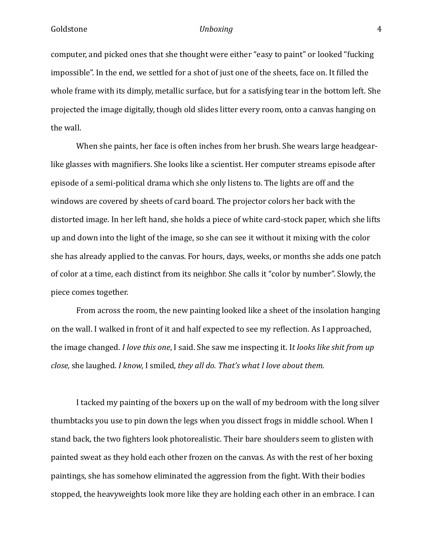computer, and picked ones that she thought were either "easy to paint" or looked "fucking impossible". In the end, we settled for a shot of just one of the sheets, face on. It filled the whole frame with its dimply, metallic surface, but for a satisfying tear in the bottom left. She projected the image digitally, though old slides litter every room, onto a canvas hanging on the wall.

 When she paints, her face is often inches from her brush. She wears large headgearlike glasses with magnifiers. She looks like a scientist. Her computer streams episode after episode of a semi-political drama which she only listens to. The lights are off and the windows are covered by sheets of card board. The projector colors her back with the distorted image. In her left hand, she holds a piece of white card-stock paper, which she lifts up and down into the light of the image, so she can see it without it mixing with the color she has already applied to the canvas. For hours, days, weeks, or months she adds one patch of color at a time, each distinct from its neighbor. She calls it "color by number". Slowly, the piece comes together.

 From across the room, the new painting looked like a sheet of the insolation hanging on the wall. I walked in front of it and half expected to see my reflection. As I approached, the image changed. *I love this one*, I said. She saw me inspecting it. I*t looks like shit from up close,* she laughed. *I know,* I smiled, *they all do. That's what I love about them.* 

 I tacked my painting of the boxers up on the wall of my bedroom with the long silver thumbtacks you use to pin down the legs when you dissect frogs in middle school. When I stand back, the two fighters look photorealistic. Their bare shoulders seem to glisten with painted sweat as they hold each other frozen on the canvas. As with the rest of her boxing paintings, she has somehow eliminated the aggression from the fight. With their bodies stopped, the heavyweights look more like they are holding each other in an embrace. I can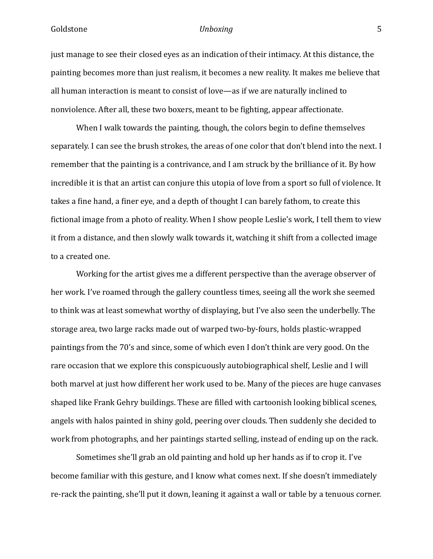just manage to see their closed eyes as an indication of their intimacy. At this distance, the painting becomes more than just realism, it becomes a new reality. It makes me believe that all human interaction is meant to consist of love—as if we are naturally inclined to nonviolence. After all, these two boxers, meant to be fighting, appear affectionate.

When I walk towards the painting, though, the colors begin to define themselves separately. I can see the brush strokes, the areas of one color that don't blend into the next. I remember that the painting is a contrivance, and I am struck by the brilliance of it. By how incredible it is that an artist can conjure this utopia of love from a sport so full of violence. It takes a fine hand, a finer eye, and a depth of thought I can barely fathom, to create this fictional image from a photo of reality. When I show people Leslie's work, I tell them to view it from a distance, and then slowly walk towards it, watching it shift from a collected image to a created one.

 Working for the artist gives me a different perspective than the average observer of her work. I've roamed through the gallery countless times, seeing all the work she seemed to think was at least somewhat worthy of displaying, but I've also seen the underbelly. The storage area, two large racks made out of warped two-by-fours, holds plastic-wrapped paintings from the 70's and since, some of which even I don't think are very good. On the rare occasion that we explore this conspicuously autobiographical shelf, Leslie and I will both marvel at just how different her work used to be. Many of the pieces are huge canvases shaped like Frank Gehry buildings. These are filled with cartoonish looking biblical scenes, angels with halos painted in shiny gold, peering over clouds. Then suddenly she decided to work from photographs, and her paintings started selling, instead of ending up on the rack.

 Sometimes she'll grab an old painting and hold up her hands as if to crop it. I've become familiar with this gesture, and I know what comes next. If she doesn't immediately re-rack the painting, she'll put it down, leaning it against a wall or table by a tenuous corner.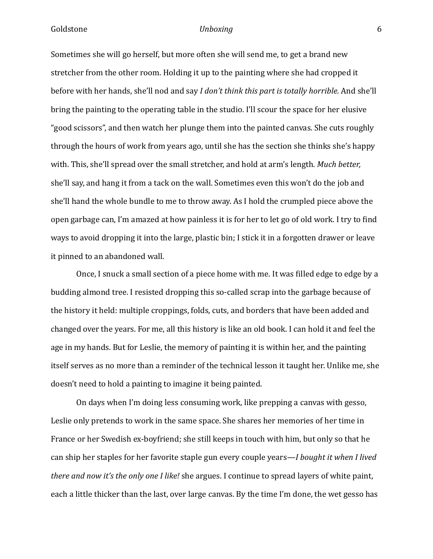Sometimes she will go herself, but more often she will send me, to get a brand new stretcher from the other room. Holding it up to the painting where she had cropped it before with her hands, she'll nod and say *I don't think this part is totally horrible*. And she'll bring the painting to the operating table in the studio. I'll scour the space for her elusive "good scissors", and then watch her plunge them into the painted canvas. She cuts roughly through the hours of work from years ago, until she has the section she thinks she's happy with. This, she'll spread over the small stretcher, and hold at arm's length. *Much better,*  she'll say, and hang it from a tack on the wall. Sometimes even this won't do the job and she'll hand the whole bundle to me to throw away. As I hold the crumpled piece above the open garbage can, I'm amazed at how painless it is for her to let go of old work. I try to find ways to avoid dropping it into the large, plastic bin; I stick it in a forgotten drawer or leave it pinned to an abandoned wall.

Once, I snuck a small section of a piece home with me. It was filled edge to edge by a budding almond tree. I resisted dropping this so-called scrap into the garbage because of the history it held: multiple croppings, folds, cuts, and borders that have been added and changed over the years. For me, all this history is like an old book. I can hold it and feel the age in my hands. But for Leslie, the memory of painting it is within her, and the painting itself serves as no more than a reminder of the technical lesson it taught her. Unlike me, she doesn't need to hold a painting to imagine it being painted.

 On days when I'm doing less consuming work, like prepping a canvas with gesso, Leslie only pretends to work in the same space. She shares her memories of her time in France or her Swedish ex-boyfriend; she still keeps in touch with him, but only so that he can ship her staples for her favorite staple gun every couple years—*I bought it when I lived there and now it's the only one I like!* she argues. I continue to spread layers of white paint, each a little thicker than the last, over large canvas. By the time I'm done, the wet gesso has